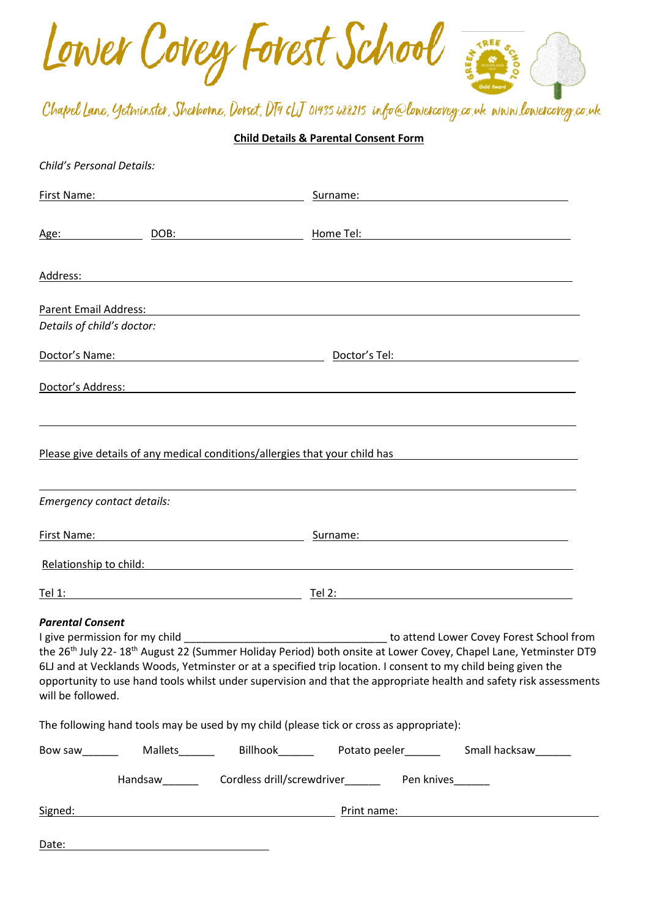Lower Covey Forest School **SEEM TREE** 

Chapel Lane, Yetminster, Sherborne, Dorset, DT9 cLJ 01935 488215 info@lowercovey.co.uk www.lowercovey.co.uk

## **Child Details & Parental Consent Form**

| Child's Personal Details:                    |                                                         |                                                                                                                                                                                                                                                                                                                                                                                                                            |
|----------------------------------------------|---------------------------------------------------------|----------------------------------------------------------------------------------------------------------------------------------------------------------------------------------------------------------------------------------------------------------------------------------------------------------------------------------------------------------------------------------------------------------------------------|
| First Name:                                  |                                                         | Surname: National Contract of the Contract of the Contract of the Contract of the Contract of the Contract of the Contract of the Contract of the Contract of the Contract of the Contract of the Contract of the Contract of                                                                                                                                                                                              |
| Age:                                         |                                                         |                                                                                                                                                                                                                                                                                                                                                                                                                            |
|                                              |                                                         |                                                                                                                                                                                                                                                                                                                                                                                                                            |
| <b>Parent Email Address:</b>                 |                                                         |                                                                                                                                                                                                                                                                                                                                                                                                                            |
| Details of child's doctor:                   |                                                         |                                                                                                                                                                                                                                                                                                                                                                                                                            |
|                                              |                                                         | Doctor's Name: 2008 and 2008 and 2008 and 2008 and 2008 and 2008 and 2008 and 2008 and 2008 and 2008 and 2008                                                                                                                                                                                                                                                                                                              |
|                                              |                                                         |                                                                                                                                                                                                                                                                                                                                                                                                                            |
|                                              |                                                         | Please give details of any medical conditions/allergies that your child has                                                                                                                                                                                                                                                                                                                                                |
| Emergency contact details:                   |                                                         |                                                                                                                                                                                                                                                                                                                                                                                                                            |
| First Name:                                  | <u> 1980 - Johann Barbara, martin amerikan basar da</u> |                                                                                                                                                                                                                                                                                                                                                                                                                            |
|                                              |                                                         | Relationship to child: National Property of the Contract of the Contract of the Contract of the Contract of the Contract of the Contract of the Contract of the Contract of the Contract of the Contract of the Contract of th                                                                                                                                                                                             |
|                                              |                                                         |                                                                                                                                                                                                                                                                                                                                                                                                                            |
| <b>Parental Consent</b><br>will be followed. | I give permission for my child                          | to attend Lower Covey Forest School from<br>the 26 <sup>th</sup> July 22-18 <sup>th</sup> August 22 (Summer Holiday Period) both onsite at Lower Covey, Chapel Lane, Yetminster DT9<br>6LJ and at Vecklands Woods, Yetminster or at a specified trip location. I consent to my child being given the<br>opportunity to use hand tools whilst under supervision and that the appropriate health and safety risk assessments |
|                                              |                                                         | The following hand tools may be used by my child (please tick or cross as appropriate):                                                                                                                                                                                                                                                                                                                                    |
|                                              |                                                         | Bow saw_________  Mallets_________  Billhook________  Potato peeler________  Small hacksaw_______                                                                                                                                                                                                                                                                                                                          |
|                                              |                                                         | Handsaw_______________Cordless drill/screwdriver________________________________                                                                                                                                                                                                                                                                                                                                           |
|                                              |                                                         | Signed: National Print name: National Print name: National Print name: National Print name: National Print name: National Print name: National Print name: National Print name: National Prince of the Unit of the Unit of the                                                                                                                                                                                             |
|                                              |                                                         |                                                                                                                                                                                                                                                                                                                                                                                                                            |